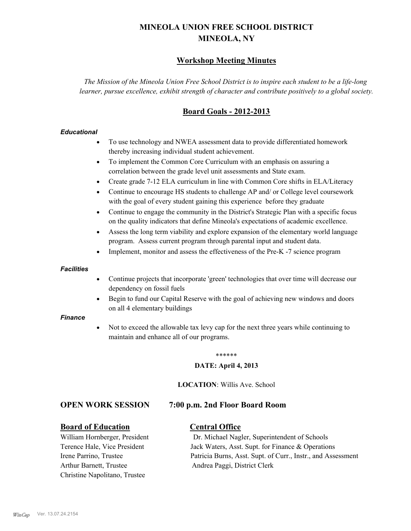# **MINEOLA UNION FREE SCHOOL DISTRICT MINEOLA, NY**

# **Workshop Meeting Minutes**

*The Mission of the Mineola Union Free School District is to inspire each student to be a life-long learner, pursue excellence, exhibit strength of character and contribute positively to a global society.*

# **Board Goals - 2012-2013**

#### *Educational*

- · To use technology and NWEA assessment data to provide differentiated homework thereby increasing individual student achievement.
- · To implement the Common Core Curriculum with an emphasis on assuring a correlation between the grade level unit assessments and State exam.
- Create grade 7-12 ELA curriculum in line with Common Core shifts in ELA/Literacy
- Continue to encourage HS students to challenge AP and/ or College level coursework with the goal of every student gaining this experience before they graduate
- · Continue to engage the community in the District's Strategic Plan with a specific focus on the quality indicators that define Mineola's expectations of academic excellence.
- Assess the long term viability and explore expansion of the elementary world language program. Assess current program through parental input and student data.
- Implement, monitor and assess the effectiveness of the Pre-K -7 science program

#### *Facilities*

- · Continue projects that incorporate 'green' technologies that over time will decrease our dependency on fossil fuels
- Begin to fund our Capital Reserve with the goal of achieving new windows and doors on all 4 elementary buildings

#### *Finance*

Not to exceed the allowable tax levy cap for the next three years while continuing to maintain and enhance all of our programs.

#### \*\*\*\*\*\*

#### **DATE: April 4, 2013**

**LOCATION**: Willis Ave. School

# **OPEN WORK SESSION 7:00 p.m. 2nd Floor Board Room**

# **Board of Education Central Office**

Arthur Barnett, Trustee Andrea Paggi, District Clerk Christine Napolitano, Trustee

William Hornberger, President Dr. Michael Nagler, Superintendent of Schools Terence Hale, Vice President Jack Waters, Asst. Supt. for Finance & Operations Irene Parrino, Trustee Patricia Burns, Asst. Supt. of Curr., Instr., and Assessment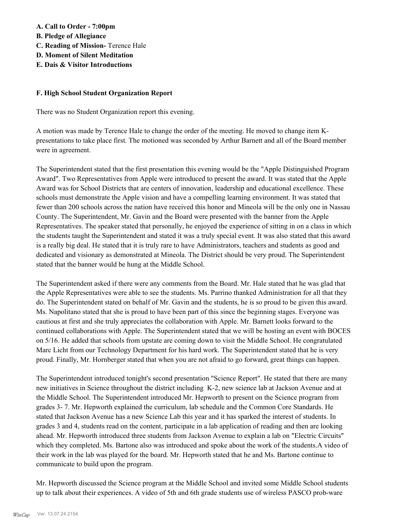# **A. Call to Order - 7:00pm**

- **B. Pledge of Allegiance**
- **C. Reading of Mission-** Terence Hale
- **D. Moment of Silent Meditation**
- **E. Dais & Visitor Introductions**

# **F. High School Student Organization Report**

There was no Student Organization report this evening.

A motion was made by Terence Hale to change the order of the meeting. He moved to change item Kpresentations to take place first. The motioned was seconded by Arthur Barnett and all of the Board member were in agreement.

The Superintendent stated that the first presentation this evening would be the "Apple Distinguished Program Award". Two Representatives from Apple were introduced to present the award. It was stated that the Apple Award was for School Districts that are centers of innovation, leadership and educational excellence. These schools must demonstrate the Apple vision and have a compelling learning environment. It was stated that fewer than 200 schools across the nation have received this honor and Mineola will be the only one in Nassau County. The Superintendent, Mr. Gavin and the Board were presented with the banner from the Apple Representatives. The speaker stated that personally, he enjoyed the experience of sitting in on a class in which the students taught the Superintendent and stated it was a truly special event. It was also stated that this award is a really big deal. He stated that it is truly rare to have Administrators, teachers and students as good and dedicated and visionary as demonstrated at Mineola. The District should be very proud. The Superintendent stated that the banner would be hung at the Middle School.

The Superintendent asked if there were any comments from the Board. Mr. Hale stated that he was glad that the Apple Representatives were able to see the students. Ms. Parrino thanked Administration for all that they do. The Superintendent stated on behalf of Mr. Gavin and the students, he is so proud to be given this award. Ms. Napolitano stated that she is proud to have been part of this since the beginning stages. Everyone was cautious at first and she truly appreciates the collaboration with Apple. Mr. Barnett looks forward to the continued collaborations with Apple. The Superintendent stated that we will be hosting an event with BOCES on 5/16. He added that schools from upstate are coming down to visit the Middle School. He congratulated Marc Licht from our Technology Department for his hard work. The Superintendent stated that he is very proud. Finally, Mr. Hornberger stated that when you are not afraid to go forward, great things can happen.

The Superintendent introduced tonight's second presentation "Science Report". He stated that there are many new initiatives in Science throughout the district including K-2, new science lab at Jackson Avenue and at the Middle School. The Superintendent introduced Mr. Hepworth to present on the Science program from grades 3- 7. Mr. Hepworth explained the curriculum, lab schedule and the Common Core Standards. He stated that Jackson Avenue has a new Science Lab this year and it has sparked the interest of students. In grades 3 and 4, students read on the content, participate in a lab application of reading and then are looking ahead. Mr. Hepworth introduced three students from Jackson Avenue to explain a lab on "Electric Circuits" which they completed. Ms. Bartone also was introduced and spoke about the work of the students.A video of their work in the lab was played for the board. Mr. Hepworth stated that he and Ms. Bartone continue to communicate to build upon the program.

Mr. Hepworth discussed the Science program at the Middle School and invited some Middle School students up to talk about their experiences. A video of 5th and 6th grade students use of wireless PASCO prob-ware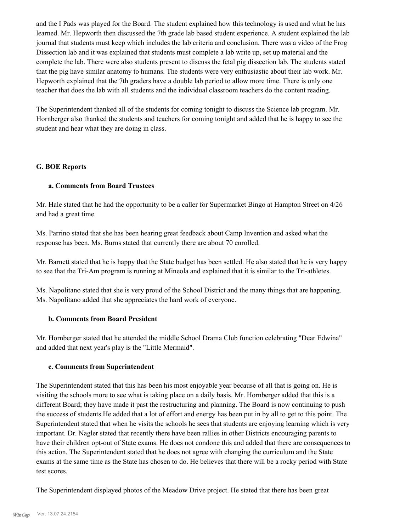and the I Pads was played for the Board. The student explained how this technology is used and what he has learned. Mr. Hepworth then discussed the 7th grade lab based student experience. A student explained the lab journal that students must keep which includes the lab criteria and conclusion. There was a video of the Frog Dissection lab and it was explained that students must complete a lab write up, set up material and the complete the lab. There were also students present to discuss the fetal pig dissection lab. The students stated that the pig have similar anatomy to humans. The students were very enthusiastic about their lab work. Mr. Hepworth explained that the 7th graders have a double lab period to allow more time. There is only one teacher that does the lab with all students and the individual classroom teachers do the content reading.

The Superintendent thanked all of the students for coming tonight to discuss the Science lab program. Mr. Hornberger also thanked the students and teachers for coming tonight and added that he is happy to see the student and hear what they are doing in class.

# **G. BOE Reports**

### **a. Comments from Board Trustees**

Mr. Hale stated that he had the opportunity to be a caller for Supermarket Bingo at Hampton Street on 4/26 and had a great time.

Ms. Parrino stated that she has been hearing great feedback about Camp Invention and asked what the response has been. Ms. Burns stated that currently there are about 70 enrolled.

Mr. Barnett stated that he is happy that the State budget has been settled. He also stated that he is very happy to see that the Tri-Am program is running at Mineola and explained that it is similar to the Tri-athletes.

Ms. Napolitano stated that she is very proud of the School District and the many things that are happening. Ms. Napolitano added that she appreciates the hard work of everyone.

# **b. Comments from Board President**

Mr. Hornberger stated that he attended the middle School Drama Club function celebrating "Dear Edwina" and added that next year's play is the "Little Mermaid".

#### **c. Comments from Superintendent**

The Superintendent stated that this has been his most enjoyable year because of all that is going on. He is visiting the schools more to see what is taking place on a daily basis. Mr. Hornberger added that this is a different Board; they have made it past the restructuring and planning. The Board is now continuing to push the success of students.He added that a lot of effort and energy has been put in by all to get to this point. The Superintendent stated that when he visits the schools he sees that students are enjoying learning which is very important. Dr. Nagler stated that recently there have been rallies in other Districts encouraging parents to have their children opt-out of State exams. He does not condone this and added that there are consequences to this action. The Superintendent stated that he does not agree with changing the curriculum and the State exams at the same time as the State has chosen to do. He believes that there will be a rocky period with State test scores.

The Superintendent displayed photos of the Meadow Drive project. He stated that there has been great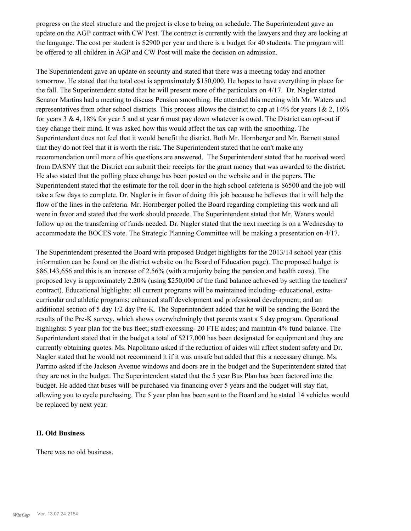progress on the steel structure and the project is close to being on schedule. The Superintendent gave an update on the AGP contract with CW Post. The contract is currently with the lawyers and they are looking at the language. The cost per student is \$2900 per year and there is a budget for 40 students. The program will be offered to all children in AGP and CW Post will make the decision on admission.

The Superintendent gave an update on security and stated that there was a meeting today and another tomorrow. He stated that the total cost is approximately \$150,000. He hopes to have everything in place for the fall. The Superintendent stated that he will present more of the particulars on 4/17. Dr. Nagler stated Senator Martins had a meeting to discuss Pension smoothing. He attended this meeting with Mr. Waters and representatives from other school districts. This process allows the district to cap at 14% for years 1& 2, 16% for years  $3 \& 4$ , 18% for year 5 and at year 6 must pay down whatever is owed. The District can opt-out if they change their mind. It was asked how this would affect the tax cap with the smoothing. The Superintendent does not feel that it would benefit the district. Both Mr. Hornberger and Mr. Barnett stated that they do not feel that it is worth the risk. The Superintendent stated that he can't make any recommendation until more of his questions are answered. The Superintendent stated that he received word from DASNY that the District can submit their receipts for the grant money that was awarded to the district. He also stated that the polling place change has been posted on the website and in the papers. The Superintendent stated that the estimate for the roll door in the high school cafeteria is \$6500 and the job will take a few days to complete. Dr. Nagler is in favor of doing this job because he believes that it will help the flow of the lines in the cafeteria. Mr. Hornberger polled the Board regarding completing this work and all were in favor and stated that the work should precede. The Superintendent stated that Mr. Waters would follow up on the transferring of funds needed. Dr. Nagler stated that the next meeting is on a Wednesday to accommodate the BOCES vote. The Strategic Planning Committee will be making a presentation on 4/17.

The Superintendent presented the Board with proposed Budget highlights for the 2013/14 school year (this information can be found on the district website on the Board of Education page). The proposed budget is \$86,143,656 and this is an increase of 2.56% (with a majority being the pension and health costs). The proposed levy is approximately 2.20% (using \$250,000 of the fund balance achieved by settling the teachers' contract). Educational highlights: all current programs will be maintained including- educational, extracurricular and athletic programs; enhanced staff development and professional development; and an additional section of 5 day 1/2 day Pre-K. The Superintendent added that he will be sending the Board the results of the Pre-K survey, which shows overwhelmingly that parents want a 5 day program. Operational highlights: 5 year plan for the bus fleet; staff excessing- 20 FTE aides; and maintain 4% fund balance. The Superintendent stated that in the budget a total of \$217,000 has been designated for equipment and they are currently obtaining quotes. Ms. Napolitano asked if the reduction of aides will affect student safety and Dr. Nagler stated that he would not recommend it if it was unsafe but added that this a necessary change. Ms. Parrino asked if the Jackson Avenue windows and doors are in the budget and the Superintendent stated that they are not in the budget. The Superintendent stated that the 5 year Bus Plan has been factored into the budget. He added that buses will be purchased via financing over 5 years and the budget will stay flat, allowing you to cycle purchasing. The 5 year plan has been sent to the Board and he stated 14 vehicles would be replaced by next year.

#### **H. Old Business**

There was no old business.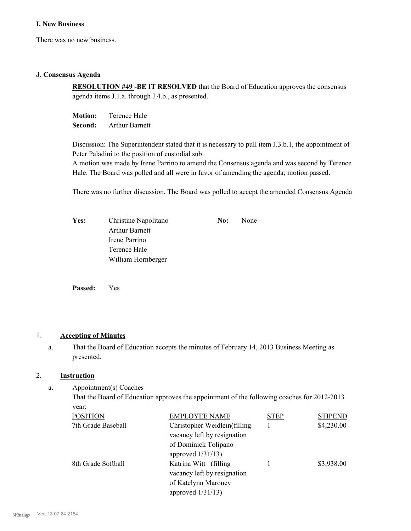### **I. New Business**

There was no new business.

#### **J. Consensus Agenda**

**RESOLUTION #49 -BE IT RESOLVED** that the Board of Education approves the consensus agenda items J.1.a. through J.4.b., as presented.

**Motion:** Terence Hale **Second:** Arthur Barnett

Discussion: The Superintendent stated that it is necessary to pull item J.3.b.1, the appointment of Peter Paladini to the position of custodial sub.

A motion was made by Irene Parrino to amend the Consensus agenda and was second by Terence Hale. The Board was polled and all were in favor of amending the agenda; motion passed.

There was no further discussion. The Board was polled to accept the amended Consensus Agenda

| <b>Yes:</b> | Christine Napolitano  | No: | None |
|-------------|-----------------------|-----|------|
|             | <b>Arthur Barnett</b> |     |      |
|             | Irene Parrino         |     |      |
|             | Terence Hale          |     |      |
|             | William Hornberger    |     |      |

**Passed:** Yes

# 1. **Accepting of Minutes**

That the Board of Education accepts the minutes of February 14, 2013 Business Meeting as presented. a.

# 2. **Instruction**

Appointment(s) Coaches a.

> That the Board of Education approves the appointment of the following coaches for 2012-2013 year:

| <b>POSITION</b>    | <b>EMPLOYEE NAME</b>          | <b>STEP</b> | <b>STIPEND</b> |
|--------------------|-------------------------------|-------------|----------------|
| 7th Grade Baseball | Christopher Weidlein(filling) |             | \$4,230.00     |
|                    | vacancy left by resignation   |             |                |
|                    | of Dominick Tolipano          |             |                |
|                    | approved $1/31/13$ )          |             |                |
| 8th Grade Softball | Katrina Witt (filling         |             | \$3,938.00     |
|                    | vacancy left by resignation   |             |                |
|                    | of Katelynn Maroney           |             |                |
|                    | approved $1/31/13$ )          |             |                |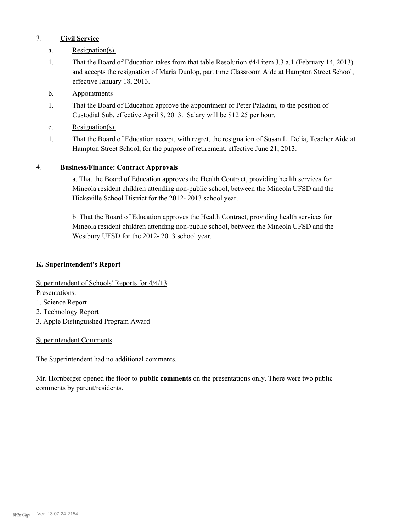# 3. **Civil Service**

- a. Resignation(s)
- That the Board of Education takes from that table Resolution #44 item J.3.a.1 (February 14, 2013) and accepts the resignation of Maria Dunlop, part time Classroom Aide at Hampton Street School, effective January 18, 2013. 1.
- b. Appointments
- That the Board of Education approve the appointment of Peter Paladini, to the position of Custodial Sub, effective April 8, 2013. Salary will be \$12.25 per hour. 1.
- c. Resignation(s)
- That the Board of Education accept, with regret, the resignation of Susan L. Delia, Teacher Aide at Hampton Street School, for the purpose of retirement, effective June 21, 2013. 1.

# 4. **Business/Finance: Contract Approvals**

a. That the Board of Education approves the Health Contract, providing health services for Mineola resident children attending non-public school, between the Mineola UFSD and the Hicksville School District for the 2012- 2013 school year.

b. That the Board of Education approves the Health Contract, providing health services for Mineola resident children attending non-public school, between the Mineola UFSD and the Westbury UFSD for the 2012- 2013 school year.

# **K. Superintendent's Report**

Superintendent of Schools' Reports for 4/4/13

Presentations:

- 1. Science Report
- 2. Technology Report
- 3. Apple Distinguished Program Award

# Superintendent Comments

The Superintendent had no additional comments.

Mr. Hornberger opened the floor to **public comments** on the presentations only. There were two public comments by parent/residents.